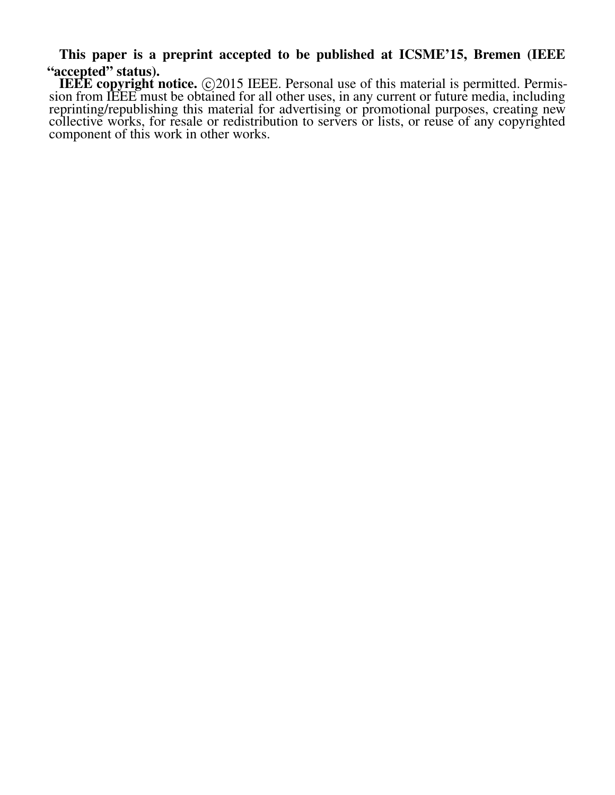# This paper is a preprint accepted to be published at ICSME'15, Bremen (IEEE "accepted" status).

IEEE copyright notice. ©2015 IEEE. Personal use of this material is permitted. Permission from IEEE must be obtained for all other uses, in any current or future media, including reprinting/republishing this material for advertising or promotional purposes, creating new collective works, for resale or redistribution to servers or lists, or reuse of any copyrighted component of this work in other works.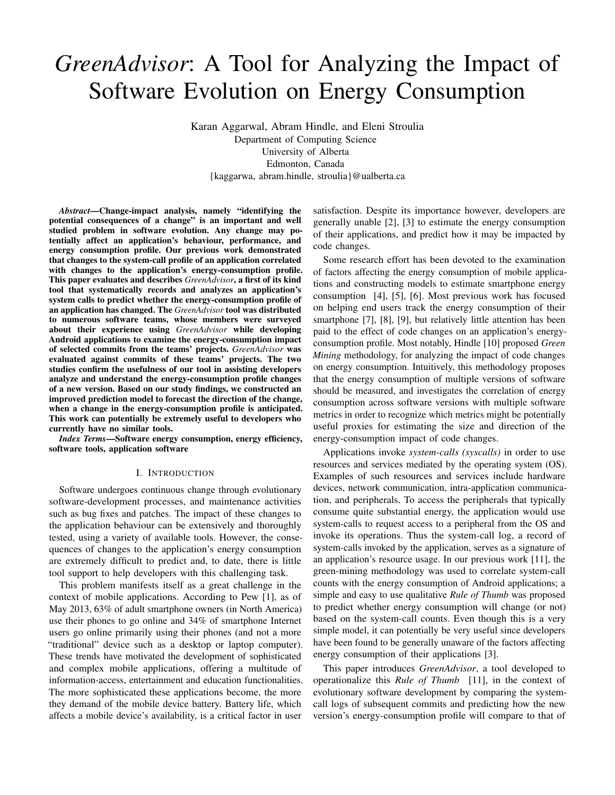# *GreenAdvisor*: A Tool for Analyzing the Impact of Software Evolution on Energy Consumption

Karan Aggarwal, Abram Hindle, and Eleni Stroulia Department of Computing Science University of Alberta Edmonton, Canada {kaggarwa, abram.hindle, stroulia}@ualberta.ca

*Abstract*—Change-impact analysis, namely "identifying the potential consequences of a change" is an important and well studied problem in software evolution. Any change may potentially affect an application's behaviour, performance, and energy consumption profile. Our previous work demonstrated that changes to the system-call profile of an application correlated with changes to the application's energy-consumption profile. This paper evaluates and describes *GreenAdvisor*, a first of its kind tool that systematically records and analyzes an application's system calls to predict whether the energy-consumption profile of an application has changed. The *GreenAdvisor* tool was distributed to numerous software teams, whose members were surveyed about their experience using *GreenAdvisor* while developing Android applications to examine the energy-consumption impact of selected commits from the teams' projects. *GreenAdvisor* was evaluated against commits of these teams' projects. The two studies confirm the usefulness of our tool in assisting developers analyze and understand the energy-consumption profile changes of a new version. Based on our study findings, we constructed an improved prediction model to forecast the direction of the change, when a change in the energy-consumption profile is anticipated. This work can potentially be extremely useful to developers who currently have no similar tools.

*Index Terms*—Software energy consumption, energy efficiency, software tools, application software

#### I. INTRODUCTION

Software undergoes continuous change through evolutionary software-development processes, and maintenance activities such as bug fixes and patches. The impact of these changes to the application behaviour can be extensively and thoroughly tested, using a variety of available tools. However, the consequences of changes to the application's energy consumption are extremely difficult to predict and, to date, there is little tool support to help developers with this challenging task.

This problem manifests itself as a great challenge in the context of mobile applications. According to Pew [1], as of May 2013, 63% of adult smartphone owners (in North America) use their phones to go online and 34% of smartphone Internet users go online primarily using their phones (and not a more "traditional" device such as a desktop or laptop computer). These trends have motivated the development of sophisticated and complex mobile applications, offering a multitude of information-access, entertainment and education functionalities. The more sophisticated these applications become, the more they demand of the mobile device battery. Battery life, which affects a mobile device's availability, is a critical factor in user

satisfaction. Despite its importance however, developers are generally unable [2], [3] to estimate the energy consumption of their applications, and predict how it may be impacted by code changes.

Some research effort has been devoted to the examination of factors affecting the energy consumption of mobile applications and constructing models to estimate smartphone energy consumption [4], [5], [6]. Most previous work has focused on helping end users track the energy consumption of their smartphone [7], [8], [9], but relatively little attention has been paid to the effect of code changes on an application's energyconsumption profile. Most notably, Hindle [10] proposed *Green Mining* methodology, for analyzing the impact of code changes on energy consumption. Intuitively, this methodology proposes that the energy consumption of multiple versions of software should be measured, and investigates the correlation of energy consumption across software versions with multiple software metrics in order to recognize which metrics might be potentially useful proxies for estimating the size and direction of the energy-consumption impact of code changes.

Applications invoke *system-calls (syscalls)* in order to use resources and services mediated by the operating system (OS). Examples of such resources and services include hardware devices, network communication, intra-application communication, and peripherals. To access the peripherals that typically consume quite substantial energy, the application would use system-calls to request access to a peripheral from the OS and invoke its operations. Thus the system-call log, a record of system-calls invoked by the application, serves as a signature of an application's resource usage. In our previous work [11], the green-mining methodology was used to correlate system-call counts with the energy consumption of Android applications; a simple and easy to use qualitative *Rule of Thumb* was proposed to predict whether energy consumption will change (or not) based on the system-call counts. Even though this is a very simple model, it can potentially be very useful since developers have been found to be generally unaware of the factors affecting energy consumption of their applications [3].

This paper introduces *GreenAdvisor*, a tool developed to operationalize this *Rule of Thumb* [11], in the context of evolutionary software development by comparing the systemcall logs of subsequent commits and predicting how the new version's energy-consumption profile will compare to that of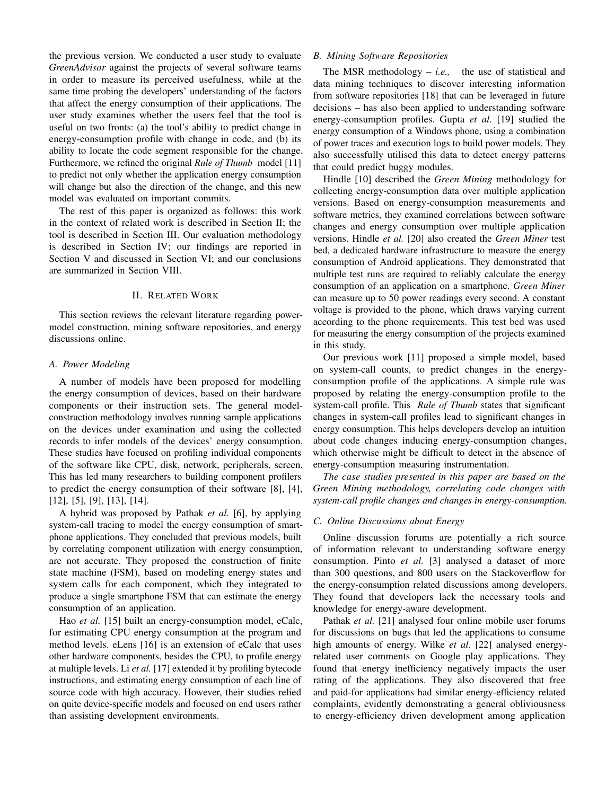the previous version. We conducted a user study to evaluate *GreenAdvisor* against the projects of several software teams in order to measure its perceived usefulness, while at the same time probing the developers' understanding of the factors that affect the energy consumption of their applications. The user study examines whether the users feel that the tool is useful on two fronts: (a) the tool's ability to predict change in energy-consumption profile with change in code, and (b) its ability to locate the code segment responsible for the change. Furthermore, we refined the original *Rule of Thumb* model [11] to predict not only whether the application energy consumption will change but also the direction of the change, and this new model was evaluated on important commits.

The rest of this paper is organized as follows: this work in the context of related work is described in Section II; the tool is described in Section III. Our evaluation methodology is described in Section IV; our findings are reported in Section V and discussed in Section VI; and our conclusions are summarized in Section VIII.

# II. RELATED WORK

This section reviews the relevant literature regarding powermodel construction, mining software repositories, and energy discussions online.

#### *A. Power Modeling*

A number of models have been proposed for modelling the energy consumption of devices, based on their hardware components or their instruction sets. The general modelconstruction methodology involves running sample applications on the devices under examination and using the collected records to infer models of the devices' energy consumption. These studies have focused on profiling individual components of the software like CPU, disk, network, peripherals, screen. This has led many researchers to building component profilers to predict the energy consumption of their software [8], [4], [12], [5], [9], [13], [14].

A hybrid was proposed by Pathak *et al.* [6], by applying system-call tracing to model the energy consumption of smartphone applications. They concluded that previous models, built by correlating component utilization with energy consumption, are not accurate. They proposed the construction of finite state machine (FSM), based on modeling energy states and system calls for each component, which they integrated to produce a single smartphone FSM that can estimate the energy consumption of an application.

Hao *et al.* [15] built an energy-consumption model, eCalc, for estimating CPU energy consumption at the program and method levels. eLens [16] is an extension of eCalc that uses other hardware components, besides the CPU, to profile energy at multiple levels. Li *et al.* [17] extended it by profiling bytecode instructions, and estimating energy consumption of each line of source code with high accuracy. However, their studies relied on quite device-specific models and focused on end users rather than assisting development environments.

# *B. Mining Software Repositories*

The MSR methodology  $-$  *i.e.*, the use of statistical and data mining techniques to discover interesting information from software repositories [18] that can be leveraged in future decisions – has also been applied to understanding software energy-consumption profiles. Gupta *et al.* [19] studied the energy consumption of a Windows phone, using a combination of power traces and execution logs to build power models. They also successfully utilised this data to detect energy patterns that could predict buggy modules.

Hindle [10] described the *Green Mining* methodology for collecting energy-consumption data over multiple application versions. Based on energy-consumption measurements and software metrics, they examined correlations between software changes and energy consumption over multiple application versions. Hindle *et al.* [20] also created the *Green Miner* test bed, a dedicated hardware infrastructure to measure the energy consumption of Android applications. They demonstrated that multiple test runs are required to reliably calculate the energy consumption of an application on a smartphone. *Green Miner* can measure up to 50 power readings every second. A constant voltage is provided to the phone, which draws varying current according to the phone requirements. This test bed was used for measuring the energy consumption of the projects examined in this study.

Our previous work [11] proposed a simple model, based on system-call counts, to predict changes in the energyconsumption profile of the applications. A simple rule was proposed by relating the energy-consumption profile to the system-call profile. This *Rule of Thumb* states that significant changes in system-call profiles lead to significant changes in energy consumption. This helps developers develop an intuition about code changes inducing energy-consumption changes, which otherwise might be difficult to detect in the absence of energy-consumption measuring instrumentation.

*The case studies presented in this paper are based on the Green Mining methodology, correlating code changes with system-call profile changes and changes in energy-consumption.*

#### *C. Online Discussions about Energy*

Online discussion forums are potentially a rich source of information relevant to understanding software energy consumption. Pinto *et al.* [3] analysed a dataset of more than 300 questions, and 800 users on the Stackoverflow for the energy-consumption related discussions among developers. They found that developers lack the necessary tools and knowledge for energy-aware development.

Pathak *et al.* [21] analysed four online mobile user forums for discussions on bugs that led the applications to consume high amounts of energy. Wilke *et al.* [22] analysed energyrelated user comments on Google play applications. They found that energy inefficiency negatively impacts the user rating of the applications. They also discovered that free and paid-for applications had similar energy-efficiency related complaints, evidently demonstrating a general obliviousness to energy-efficiency driven development among application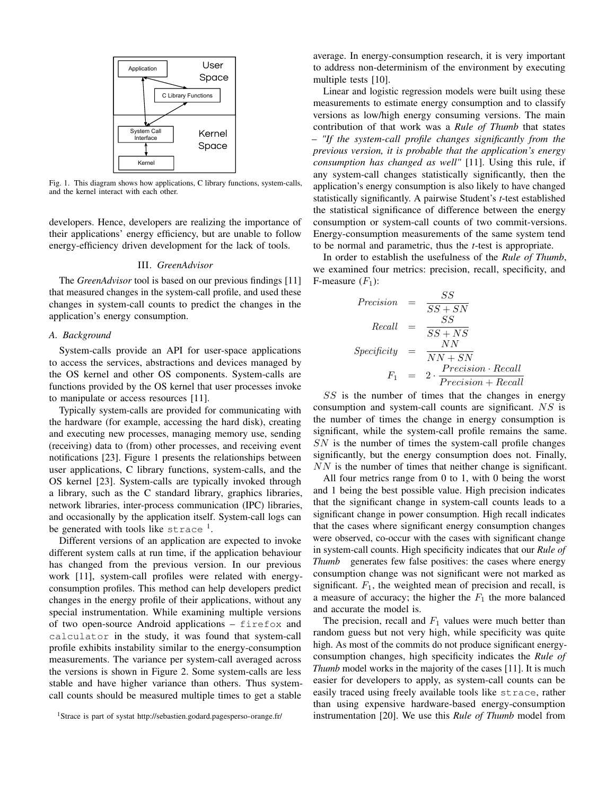

Fig. 1. This diagram shows how applications, C library functions, system-calls, and the kernel interact with each other.

developers. Hence, developers are realizing the importance of their applications' energy efficiency, but are unable to follow energy-efficiency driven development for the lack of tools.

# III. *GreenAdvisor*

The *GreenAdvisor* tool is based on our previous findings [11] that measured changes in the system-call profile, and used these changes in system-call counts to predict the changes in the application's energy consumption.

#### *A. Background*

System-calls provide an API for user-space applications to access the services, abstractions and devices managed by the OS kernel and other OS components. System-calls are functions provided by the OS kernel that user processes invoke to manipulate or access resources [11].

Typically system-calls are provided for communicating with the hardware (for example, accessing the hard disk), creating and executing new processes, managing memory use, sending (receiving) data to (from) other processes, and receiving event notifications [23]. Figure 1 presents the relationships between user applications, C library functions, system-calls, and the OS kernel [23]. System-calls are typically invoked through a library, such as the C standard library, graphics libraries, network libraries, inter-process communication (IPC) libraries, and occasionally by the application itself. System-call logs can be generated with tools like  $strace^{-1}$ .

Different versions of an application are expected to invoke different system calls at run time, if the application behaviour has changed from the previous version. In our previous work [11], system-call profiles were related with energyconsumption profiles. This method can help developers predict changes in the energy profile of their applications, without any special instrumentation. While examining multiple versions of two open-source Android applications – firefox and calculator in the study, it was found that system-call profile exhibits instability similar to the energy-consumption measurements. The variance per system-call averaged across the versions is shown in Figure 2. Some system-calls are less stable and have higher variance than others. Thus systemcall counts should be measured multiple times to get a stable

average. In energy-consumption research, it is very important to address non-determinism of the environment by executing multiple tests [10].

Linear and logistic regression models were built using these measurements to estimate energy consumption and to classify versions as low/high energy consuming versions. The main contribution of that work was a *Rule of Thumb* that states – *"If the system-call profile changes significantly from the previous version, it is probable that the application's energy consumption has changed as well"* [11]. Using this rule, if any system-call changes statistically significantly, then the application's energy consumption is also likely to have changed statistically significantly. A pairwise Student's *t*-test established the statistical significance of difference between the energy consumption or system-call counts of two commit-versions. Energy-consumption measurements of the same system tend to be normal and parametric, thus the *t*-test is appropriate.

In order to establish the usefulness of the *Rule of Thumb*, we examined four metrics: precision, recall, specificity, and F-measure  $(F_1)$ :

$$
Precision = \frac{SS}{SS + SN}
$$
  
\n
$$
Recall = \frac{SS}{SS + NS}
$$
  
\n
$$
Specificity = \frac{NN}{NN + SN}
$$
  
\n
$$
F_1 = 2 \cdot \frac{Precision \cdot Recall}{Precision + Recall}
$$

SS is the number of times that the changes in energy consumption and system-call counts are significant. NS is the number of times the change in energy consumption is significant, while the system-call profile remains the same. SN is the number of times the system-call profile changes significantly, but the energy consumption does not. Finally, NN is the number of times that neither change is significant.

All four metrics range from 0 to 1, with 0 being the worst and 1 being the best possible value. High precision indicates that the significant change in system-call counts leads to a significant change in power consumption. High recall indicates that the cases where significant energy consumption changes were observed, co-occur with the cases with significant change in system-call counts. High specificity indicates that our *Rule of Thumb* generates few false positives: the cases where energy consumption change was not significant were not marked as significant.  $F_1$ , the weighted mean of precision and recall, is a measure of accuracy; the higher the  $F_1$  the more balanced and accurate the model is.

The precision, recall and  $F_1$  values were much better than random guess but not very high, while specificity was quite high. As most of the commits do not produce significant energyconsumption changes, high specificity indicates the *Rule of Thumb* model works in the majority of the cases [11]. It is much easier for developers to apply, as system-call counts can be easily traced using freely available tools like strace, rather than using expensive hardware-based energy-consumption instrumentation [20]. We use this *Rule of Thumb* model from

<sup>1</sup>Strace is part of systat http://sebastien.godard.pagesperso-orange.fr/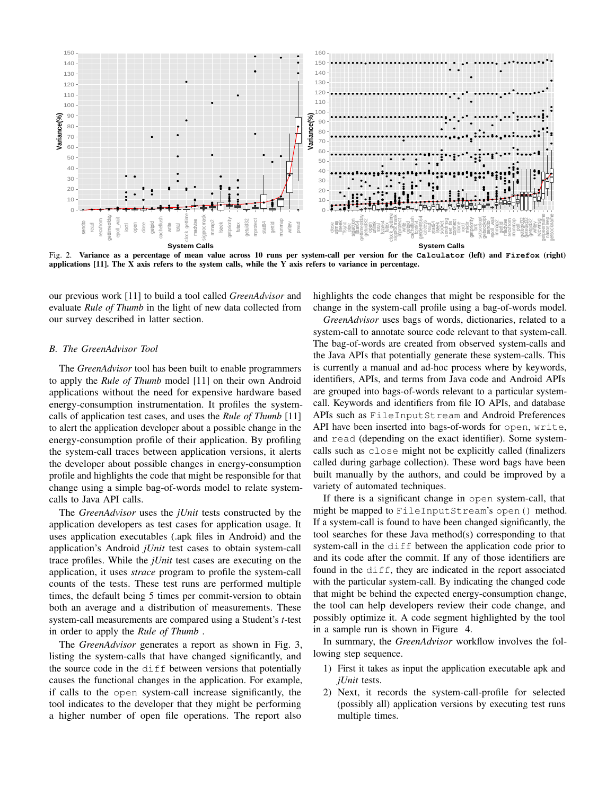

Fig. 2. Variance as a percentage of mean value across 10 runs per system-call per version for the **Calculator** (left) and **Firefox** (right) applications [11]. The X axis refers to the system calls, while the Y axis refers to variance in percentage.

our previous work [11] to build a tool called *GreenAdvisor* and evaluate *Rule of Thumb* in the light of new data collected from our survey described in latter section.

#### *B. The GreenAdvisor Tool*

The *GreenAdvisor* tool has been built to enable programmers to apply the *Rule of Thumb* model [11] on their own Android applications without the need for expensive hardware based energy-consumption instrumentation. It profiles the systemcalls of application test cases, and uses the *Rule of Thumb* [11] to alert the application developer about a possible change in the energy-consumption profile of their application. By profiling the system-call traces between application versions, it alerts the developer about possible changes in energy-consumption profile and highlights the code that might be responsible for that change using a simple bag-of-words model to relate systemcalls to Java API calls.

The *GreenAdvisor* uses the *jUnit* tests constructed by the application developers as test cases for application usage. It uses application executables (.apk files in Android) and the application's Android *jUnit* test cases to obtain system-call trace profiles. While the *jUnit* test cases are executing on the application, it uses *strace* program to profile the system-call counts of the tests. These test runs are performed multiple times, the default being 5 times per commit-version to obtain both an average and a distribution of measurements. These system-call measurements are compared using a Student's *t*-test in order to apply the *Rule of Thumb* .

The *GreenAdvisor* generates a report as shown in Fig. 3, listing the system-calls that have changed significantly, and the source code in the diff between versions that potentially causes the functional changes in the application. For example, if calls to the open system-call increase significantly, the tool indicates to the developer that they might be performing a higher number of open file operations. The report also

highlights the code changes that might be responsible for the change in the system-call profile using a bag-of-words model.

*GreenAdvisor* uses bags of words, dictionaries, related to a system-call to annotate source code relevant to that system-call. The bag-of-words are created from observed system-calls and the Java APIs that potentially generate these system-calls. This is currently a manual and ad-hoc process where by keywords, identifiers, APIs, and terms from Java code and Android APIs are grouped into bags-of-words relevant to a particular systemcall. Keywords and identifiers from file IO APIs, and database APIs such as FileInputStream and Android Preferences API have been inserted into bags-of-words for open, write, and read (depending on the exact identifier). Some systemcalls such as close might not be explicitly called (finalizers called during garbage collection). These word bags have been built manually by the authors, and could be improved by a variety of automated techniques.

If there is a significant change in open system-call, that might be mapped to FileInputStream's open() method. If a system-call is found to have been changed significantly, the tool searches for these Java method(s) corresponding to that system-call in the diff between the application code prior to and its code after the commit. If any of those identifiers are found in the diff, they are indicated in the report associated with the particular system-call. By indicating the changed code that might be behind the expected energy-consumption change, the tool can help developers review their code change, and possibly optimize it. A code segment highlighted by the tool in a sample run is shown in Figure 4.

In summary, the *GreenAdvisor* workflow involves the following step sequence.

- 1) First it takes as input the application executable apk and *jUnit* tests.
- 2) Next, it records the system-call-profile for selected (possibly all) application versions by executing test runs multiple times.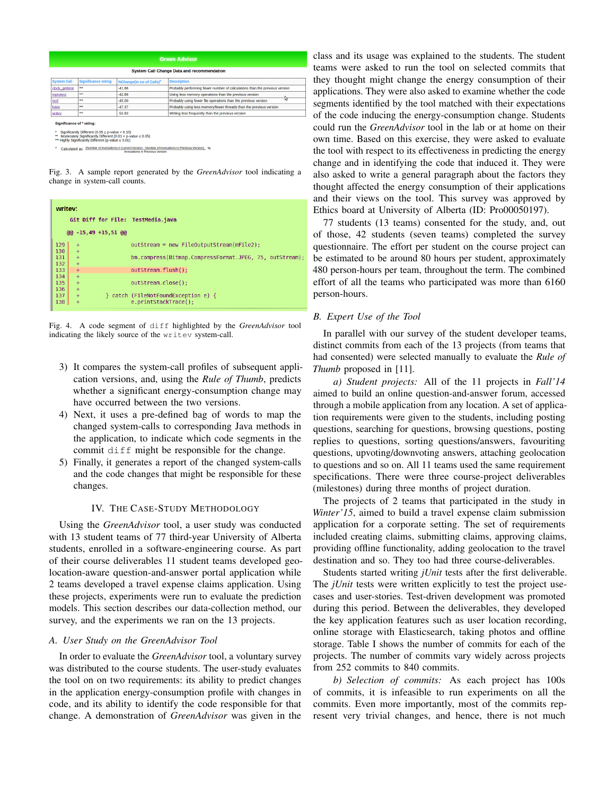| <b>Green Advisor</b><br><b>System Call Change Data and recommendation</b>                                                                                                                                                                                                                                                                                                                       |  |  |  |  |
|-------------------------------------------------------------------------------------------------------------------------------------------------------------------------------------------------------------------------------------------------------------------------------------------------------------------------------------------------------------------------------------------------|--|--|--|--|
|                                                                                                                                                                                                                                                                                                                                                                                                 |  |  |  |  |
| Probably performing fewer number of calculations than the previous version                                                                                                                                                                                                                                                                                                                      |  |  |  |  |
|                                                                                                                                                                                                                                                                                                                                                                                                 |  |  |  |  |
|                                                                                                                                                                                                                                                                                                                                                                                                 |  |  |  |  |
|                                                                                                                                                                                                                                                                                                                                                                                                 |  |  |  |  |
|                                                                                                                                                                                                                                                                                                                                                                                                 |  |  |  |  |
| Using less memory operations than the previous version<br>mprotect<br>1.č<br>Probably using fewer file operations than the previous version<br>ioctl<br>$\cdots$<br>$-45.00$<br>Probably using less memory/fewer threads than the previous version<br>futex<br>$***$<br>$-47.37$<br>Writing less frequently than the previous version<br>188<br>$-52.83$<br>writev<br>Claudiananan of tratings. |  |  |  |  |

ntly Different (0.05 ≤ p-value < 0.10)<br>ely Significantly Different (0.01 < p-v<br>gnificantly Different (p-value ≤ 0.01)

ons in Current Version - Number of invocations<br>Invocations in Previous version

Fig. 3. A sample report generated by the *GreenAdvisor* tool indicating a change in system-call counts.

|     | writey:   |                    |                                                         |
|-----|-----------|--------------------|---------------------------------------------------------|
|     |           |                    | Git Diff for File: TestMedia.java                       |
|     |           | $@@-15,49+15,51@@$ |                                                         |
| 129 | $\ddot{}$ |                    | $outStream = new FileOutputStream(mFile2)$ :            |
| 130 | $\ddot{}$ |                    |                                                         |
| 131 | $\ddot{}$ |                    | bm.compress(Bitmap.CompressFormat.JPEG, 75, outStream); |
| 132 | $+$       |                    |                                                         |
| 133 | $+$       |                    | outStream.flush():                                      |
| 134 | $+$       |                    |                                                         |
| 135 | $+$       |                    | outStream.close():                                      |
| 136 | $\ddot{}$ |                    |                                                         |
| 137 | $+$       |                    | } catch (FileNotFoundException e) {                     |
| 138 | $\ddot{}$ |                    | e.printStackTrace():                                    |

Fig. 4. A code segment of diff highlighted by the *GreenAdvisor* tool indicating the likely source of the writev system-call.

- 3) It compares the system-call profiles of subsequent application versions, and, using the *Rule of Thumb*, predicts whether a significant energy-consumption change may have occurred between the two versions.
- 4) Next, it uses a pre-defined bag of words to map the changed system-calls to corresponding Java methods in the application, to indicate which code segments in the commit diff might be responsible for the change.
- 5) Finally, it generates a report of the changed system-calls and the code changes that might be responsible for these changes.

# IV. THE CASE-STUDY METHODOLOGY

Using the *GreenAdvisor* tool, a user study was conducted with 13 student teams of 77 third-year University of Alberta students, enrolled in a software-engineering course. As part of their course deliverables 11 student teams developed geolocation-aware question-and-answer portal application while 2 teams developed a travel expense claims application. Using these projects, experiments were run to evaluate the prediction models. This section describes our data-collection method, our survey, and the experiments we ran on the 13 projects.

# *A. User Study on the GreenAdvisor Tool*

In order to evaluate the *GreenAdvisor* tool, a voluntary survey was distributed to the course students. The user-study evaluates the tool on on two requirements: its ability to predict changes in the application energy-consumption profile with changes in code, and its ability to identify the code responsible for that change. A demonstration of *GreenAdvisor* was given in the class and its usage was explained to the students. The student teams were asked to run the tool on selected commits that they thought might change the energy consumption of their applications. They were also asked to examine whether the code segments identified by the tool matched with their expectations of the code inducing the energy-consumption change. Students could run the *GreenAdvisor* tool in the lab or at home on their own time. Based on this exercise, they were asked to evaluate the tool with respect to its effectiveness in predicting the energy change and in identifying the code that induced it. They were also asked to write a general paragraph about the factors they thought affected the energy consumption of their applications and their views on the tool. This survey was approved by Ethics board at University of Alberta (ID: Pro00050197).

77 students (13 teams) consented for the study, and, out of those, 42 students (seven teams) completed the survey questionnaire. The effort per student on the course project can be estimated to be around 80 hours per student, approximately 480 person-hours per team, throughout the term. The combined effort of all the teams who participated was more than 6160 person-hours.

# *B. Expert Use of the Tool*

In parallel with our survey of the student developer teams, distinct commits from each of the 13 projects (from teams that had consented) were selected manually to evaluate the *Rule of Thumb* proposed in [11].

*a) Student projects:* All of the 11 projects in *Fall'14* aimed to build an online question-and-answer forum, accessed through a mobile application from any location. A set of application requirements were given to the students, including posting questions, searching for questions, browsing questions, posting replies to questions, sorting questions/answers, favouriting questions, upvoting/downvoting answers, attaching geolocation to questions and so on. All 11 teams used the same requirement specifications. There were three course-project deliverables (milestones) during three months of project duration.

The projects of 2 teams that participated in the study in *Winter'15*, aimed to build a travel expense claim submission application for a corporate setting. The set of requirements included creating claims, submitting claims, approving claims, providing offline functionality, adding geolocation to the travel destination and so. They too had three course-deliverables.

Students started writing *jUnit* tests after the first deliverable. The *jUnit* tests were written explicitly to test the project usecases and user-stories. Test-driven development was promoted during this period. Between the deliverables, they developed the key application features such as user location recording, online storage with Elasticsearch, taking photos and offline storage. Table I shows the number of commits for each of the projects. The number of commits vary widely across projects from 252 commits to 840 commits.

*b) Selection of commits:* As each project has 100s of commits, it is infeasible to run experiments on all the commits. Even more importantly, most of the commits represent very trivial changes, and hence, there is not much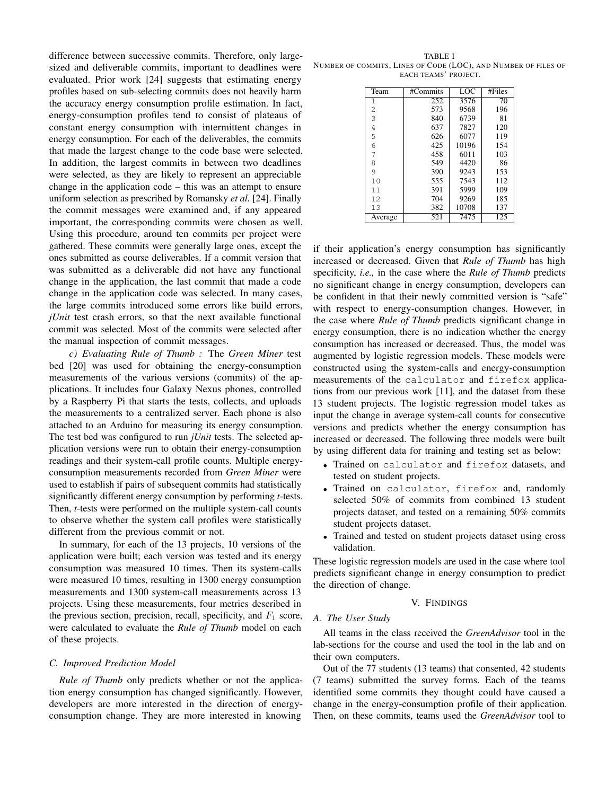difference between successive commits. Therefore, only largesized and deliverable commits, important to deadlines were evaluated. Prior work [24] suggests that estimating energy profiles based on sub-selecting commits does not heavily harm the accuracy energy consumption profile estimation. In fact, energy-consumption profiles tend to consist of plateaus of constant energy consumption with intermittent changes in energy consumption. For each of the deliverables, the commits that made the largest change to the code base were selected. In addition, the largest commits in between two deadlines were selected, as they are likely to represent an appreciable change in the application code – this was an attempt to ensure uniform selection as prescribed by Romansky *et al.* [24]. Finally the commit messages were examined and, if any appeared important, the corresponding commits were chosen as well. Using this procedure, around ten commits per project were gathered. These commits were generally large ones, except the ones submitted as course deliverables. If a commit version that was submitted as a deliverable did not have any functional change in the application, the last commit that made a code change in the application code was selected. In many cases, the large commits introduced some errors like build errors, *jUnit* test crash errors, so that the next available functional commit was selected. Most of the commits were selected after the manual inspection of commit messages.

*c) Evaluating Rule of Thumb :* The *Green Miner* test bed [20] was used for obtaining the energy-consumption measurements of the various versions (commits) of the applications. It includes four Galaxy Nexus phones, controlled by a Raspberry Pi that starts the tests, collects, and uploads the measurements to a centralized server. Each phone is also attached to an Arduino for measuring its energy consumption. The test bed was configured to run *jUnit* tests. The selected application versions were run to obtain their energy-consumption readings and their system-call profile counts. Multiple energyconsumption measurements recorded from *Green Miner* were used to establish if pairs of subsequent commits had statistically significantly different energy consumption by performing *t*-tests. Then, *t*-tests were performed on the multiple system-call counts to observe whether the system call profiles were statistically different from the previous commit or not.

In summary, for each of the 13 projects, 10 versions of the application were built; each version was tested and its energy consumption was measured 10 times. Then its system-calls were measured 10 times, resulting in 1300 energy consumption measurements and 1300 system-call measurements across 13 projects. Using these measurements, four metrics described in the previous section, precision, recall, specificity, and  $F_1$  score, were calculated to evaluate the *Rule of Thumb* model on each of these projects.

# *C. Improved Prediction Model*

*Rule of Thumb* only predicts whether or not the application energy consumption has changed significantly. However, developers are more interested in the direction of energyconsumption change. They are more interested in knowing

TABLE I NUMBER OF COMMITS, LINES OF CODE (LOC), AND NUMBER OF FILES OF EACH TEAMS' PROJECT.

| Team           | #Commits | $\overline{LOC}$ | #Files |
|----------------|----------|------------------|--------|
| 1              | 252      | 3576             | 70     |
| $\overline{c}$ | 573      | 9568             | 196    |
| 3              | 840      | 6739             | 81     |
| 4              | 637      | 7827             | 120    |
| 5              | 626      | 6077             | 119    |
| 6              | 425      | 10196            | 154    |
| 7              | 458      | 6011             | 103    |
| 8              | 549      | 4420             | 86     |
| 9              | 390      | 9243             | 153    |
| 10             | 555      | 7543             | 112    |
| 11             | 391      | 5999             | 109    |
| 12             | 704      | 9269             | 185    |
| 1.3            | 382      | 10708            | 137    |
| Average        | 521      | 7475             | 125    |

if their application's energy consumption has significantly increased or decreased. Given that *Rule of Thumb* has high specificity, *i.e.,* in the case where the *Rule of Thumb* predicts no significant change in energy consumption, developers can be confident in that their newly committed version is "safe" with respect to energy-consumption changes. However, in the case where *Rule of Thumb* predicts significant change in energy consumption, there is no indication whether the energy consumption has increased or decreased. Thus, the model was augmented by logistic regression models. These models were constructed using the system-calls and energy-consumption measurements of the calculator and firefox applications from our previous work [11], and the dataset from these 13 student projects. The logistic regression model takes as input the change in average system-call counts for consecutive versions and predicts whether the energy consumption has increased or decreased. The following three models were built by using different data for training and testing set as below:

- Trained on calculator and firefox datasets, and tested on student projects.
- Trained on calculator, firefox and, randomly selected 50% of commits from combined 13 student projects dataset, and tested on a remaining 50% commits student projects dataset.
- Trained and tested on student projects dataset using cross validation.

These logistic regression models are used in the case where tool predicts significant change in energy consumption to predict the direction of change.

#### V. FINDINGS

#### *A. The User Study*

All teams in the class received the *GreenAdvisor* tool in the lab-sections for the course and used the tool in the lab and on their own computers.

Out of the 77 students (13 teams) that consented, 42 students (7 teams) submitted the survey forms. Each of the teams identified some commits they thought could have caused a change in the energy-consumption profile of their application. Then, on these commits, teams used the *GreenAdvisor* tool to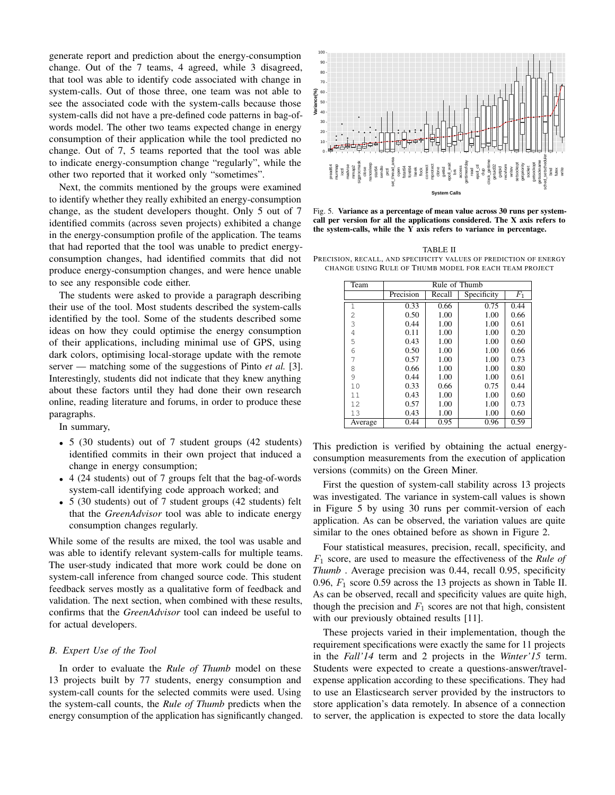generate report and prediction about the energy-consumption change. Out of the 7 teams, 4 agreed, while 3 disagreed, that tool was able to identify code associated with change in system-calls. Out of those three, one team was not able to see the associated code with the system-calls because those system-calls did not have a pre-defined code patterns in bag-ofwords model. The other two teams expected change in energy consumption of their application while the tool predicted no change. Out of 7, 5 teams reported that the tool was able to indicate energy-consumption change "regularly", while the other two reported that it worked only "sometimes".

Next, the commits mentioned by the groups were examined to identify whether they really exhibited an energy-consumption change, as the student developers thought. Only 5 out of 7 identified commits (across seven projects) exhibited a change in the energy-consumption profile of the application. The teams that had reported that the tool was unable to predict energyconsumption changes, had identified commits that did not produce energy-consumption changes, and were hence unable to see any responsible code either.

The students were asked to provide a paragraph describing their use of the tool. Most students described the system-calls identified by the tool. Some of the students described some ideas on how they could optimise the energy consumption of their applications, including minimal use of GPS, using dark colors, optimising local-storage update with the remote server — matching some of the suggestions of Pinto *et al.* [3]. Interestingly, students did not indicate that they knew anything about these factors until they had done their own research online, reading literature and forums, in order to produce these paragraphs.

In summary,

- 5 (30 students) out of 7 student groups (42 students) identified commits in their own project that induced a change in energy consumption;
- 4 (24 students) out of 7 groups felt that the bag-of-words system-call identifying code approach worked; and
- 5 (30 students) out of 7 student groups (42 students) felt that the *GreenAdvisor* tool was able to indicate energy consumption changes regularly.

While some of the results are mixed, the tool was usable and was able to identify relevant system-calls for multiple teams. The user-study indicated that more work could be done on system-call inference from changed source code. This student feedback serves mostly as a qualitative form of feedback and validation. The next section, when combined with these results, confirms that the *GreenAdvisor* tool can indeed be useful to for actual developers.

#### *B. Expert Use of the Tool*

In order to evaluate the *Rule of Thumb* model on these 13 projects built by 77 students, energy consumption and system-call counts for the selected commits were used. Using the system-call counts, the *Rule of Thumb* predicts when the energy consumption of the application has significantly changed.



Fig. 5. Variance as a percentage of mean value across 30 runs per systemcall per version for all the applications considered. The X axis refers to the system-calls, while the Y axis refers to variance in percentage.

TABLE II PRECISION, RECALL, AND SPECIFICITY VALUES OF PREDICTION OF ENERGY CHANGE USING RULE OF THUMB MODEL FOR EACH TEAM PROJECT

| Team    | Rule of Thumb |        |             |             |
|---------|---------------|--------|-------------|-------------|
|         | Precision     | Recall | Specificity | $F_{\rm 1}$ |
| 1       | 0.33          | 0.66   | 0.75        | 0.44        |
| 2       | 0.50          | 1.00   | 1.00        | 0.66        |
| 3       | 0.44          | 1.00   | 1.00        | 0.61        |
| 4       | 0.11          | 1.00   | 1.00        | 0.20        |
| 5       | 0.43          | 1.00   | 1.00        | 0.60        |
| 6       | 0.50          | 1.00   | 1.00        | 0.66        |
| 7       | 0.57          | 1.00   | 1.00        | 0.73        |
| 8       | 0.66          | 1.00   | 1.00        | 0.80        |
| 9       | 0.44          | 1.00   | 1.00        | 0.61        |
| 10      | 0.33          | 0.66   | 0.75        | 0.44        |
| 11      | 0.43          | 1.00   | 1.00        | 0.60        |
| 12.     | 0.57          | 1.00   | 1.00        | 0.73        |
| 13      | 0.43          | 1.00   | 1.00        | 0.60        |
| Average | 0.44          | 0.95   | 0.96        | 0.59        |

This prediction is verified by obtaining the actual energyconsumption measurements from the execution of application versions (commits) on the Green Miner.

First the question of system-call stability across 13 projects was investigated. The variance in system-call values is shown in Figure 5 by using 30 runs per commit-version of each application. As can be observed, the variation values are quite similar to the ones obtained before as shown in Figure 2.

Four statistical measures, precision, recall, specificity, and F<sup>1</sup> score, are used to measure the effectiveness of the *Rule of Thumb* . Average precision was 0.44, recall 0.95, specificity 0.96,  $F_1$  score 0.59 across the 13 projects as shown in Table II. As can be observed, recall and specificity values are quite high, though the precision and  $F_1$  scores are not that high, consistent with our previously obtained results [11].

These projects varied in their implementation, though the requirement specifications were exactly the same for 11 projects in the *Fall'14* term and 2 projects in the *Winter'15* term. Students were expected to create a questions-answer/travelexpense application according to these specifications. They had to use an Elasticsearch server provided by the instructors to store application's data remotely. In absence of a connection to server, the application is expected to store the data locally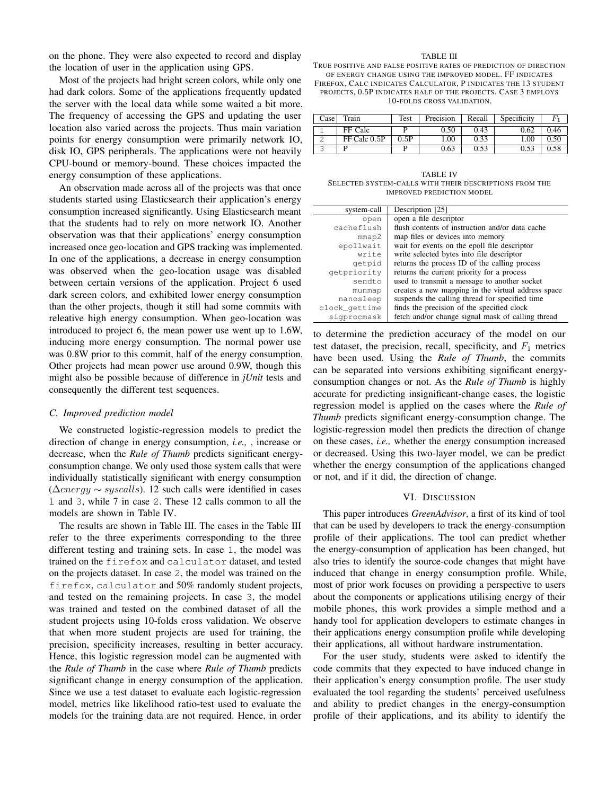on the phone. They were also expected to record and display the location of user in the application using GPS.

Most of the projects had bright screen colors, while only one had dark colors. Some of the applications frequently updated the server with the local data while some waited a bit more. The frequency of accessing the GPS and updating the user location also varied across the projects. Thus main variation points for energy consumption were primarily network IO, disk IO, GPS peripherals. The applications were not heavily CPU-bound or memory-bound. These choices impacted the energy consumption of these applications.

An observation made across all of the projects was that once students started using Elasticsearch their application's energy consumption increased significantly. Using Elasticsearch meant that the students had to rely on more network IO. Another observation was that their applications' energy consumption increased once geo-location and GPS tracking was implemented. In one of the applications, a decrease in energy consumption was observed when the geo-location usage was disabled between certain versions of the application. Project 6 used dark screen colors, and exhibited lower energy consumption than the other projects, though it still had some commits with releative high energy consumption. When geo-location was introduced to project 6, the mean power use went up to 1.6W, inducing more energy consumption. The normal power use was 0.8W prior to this commit, half of the energy consumption. Other projects had mean power use around 0.9W, though this might also be possible because of difference in *jUnit* tests and consequently the different test sequences.

#### *C. Improved prediction model*

We constructed logistic-regression models to predict the direction of change in energy consumption, *i.e.,* , increase or decrease, when the *Rule of Thumb* predicts significant energyconsumption change. We only used those system calls that were individually statistically significant with energy consumption  $(\triangle energy \sim sys calls)$ . 12 such calls were identified in cases 1 and 3, while 7 in case 2. These 12 calls common to all the models are shown in Table IV.

The results are shown in Table III. The cases in the Table III refer to the three experiments corresponding to the three different testing and training sets. In case 1, the model was trained on the firefox and calculator dataset, and tested on the projects dataset. In case 2, the model was trained on the firefox, calculator and 50% randomly student projects, and tested on the remaining projects. In case 3, the model was trained and tested on the combined dataset of all the student projects using 10-folds cross validation. We observe that when more student projects are used for training, the precision, specificity increases, resulting in better accuracy. Hence, this logistic regression model can be augmented with the *Rule of Thumb* in the case where *Rule of Thumb* predicts significant change in energy consumption of the application. Since we use a test dataset to evaluate each logistic-regression model, metrics like likelihood ratio-test used to evaluate the models for the training data are not required. Hence, in order

#### TABLE III

TRUE POSITIVE AND FALSE POSITIVE RATES OF PREDICTION OF DIRECTION OF ENERGY CHANGE USING THE IMPROVED MODEL. FF INDICATES FIREFOX, CALC INDICATES CALCULATOR, P INDICATES THE 13 STUDENT PROJECTS, 0.5P INDICATES HALF OF THE PROJECTS. CASE 3 EMPLOYS 10-FOLDS CROSS VALIDATION.

| Case | Train        | Test | Precision | Recall | Specificity |      |
|------|--------------|------|-----------|--------|-------------|------|
|      | FF Calc      |      | 0.50      | 0.43   | 0.62        | 0.46 |
|      | FF Calc 0.5P | 0.5P | .00       | 0.33   | 1.00        | 0.50 |
| -    |              |      | 0.63      | 0.53   | 0.53        |      |

TABLE IV SELECTED SYSTEM-CALLS WITH THEIR DESCRIPTIONS FROM THE IMPROVED PREDICTION MODEL

| system-call   | Description [25]                                   |
|---------------|----------------------------------------------------|
| open          | open a file descriptor                             |
| cacheflush    | flush contents of instruction and/or data cache    |
| mmap2         | map files or devices into memory                   |
| epollwait     | wait for events on the epoll file descriptor       |
| write         | write selected bytes into file descriptor          |
| getpid        | returns the process ID of the calling process      |
| getpriority   | returns the current priority for a process         |
| sendto        | used to transmit a message to another socket       |
| munmap        | creates a new mapping in the virtual address space |
| nanosleep     | suspends the calling thread for specified time     |
| clock_qettime | finds the precision of the specified clock         |
| sigprocmask   | fetch and/or change signal mask of calling thread  |

to determine the prediction accuracy of the model on our test dataset, the precision, recall, specificity, and  $F_1$  metrics have been used. Using the *Rule of Thumb*, the commits can be separated into versions exhibiting significant energyconsumption changes or not. As the *Rule of Thumb* is highly accurate for predicting insignificant-change cases, the logistic regression model is applied on the cases where the *Rule of Thumb* predicts significant energy-consumption change. The logistic-regression model then predicts the direction of change on these cases, *i.e.,* whether the energy consumption increased or decreased. Using this two-layer model, we can be predict whether the energy consumption of the applications changed or not, and if it did, the direction of change.

#### VI. DISCUSSION

This paper introduces *GreenAdvisor*, a first of its kind of tool that can be used by developers to track the energy-consumption profile of their applications. The tool can predict whether the energy-consumption of application has been changed, but also tries to identify the source-code changes that might have induced that change in energy consumption profile. While, most of prior work focuses on providing a perspective to users about the components or applications utilising energy of their mobile phones, this work provides a simple method and a handy tool for application developers to estimate changes in their applications energy consumption profile while developing their applications, all without hardware instrumentation.

For the user study, students were asked to identify the code commits that they expected to have induced change in their application's energy consumption profile. The user study evaluated the tool regarding the students' perceived usefulness and ability to predict changes in the energy-consumption profile of their applications, and its ability to identify the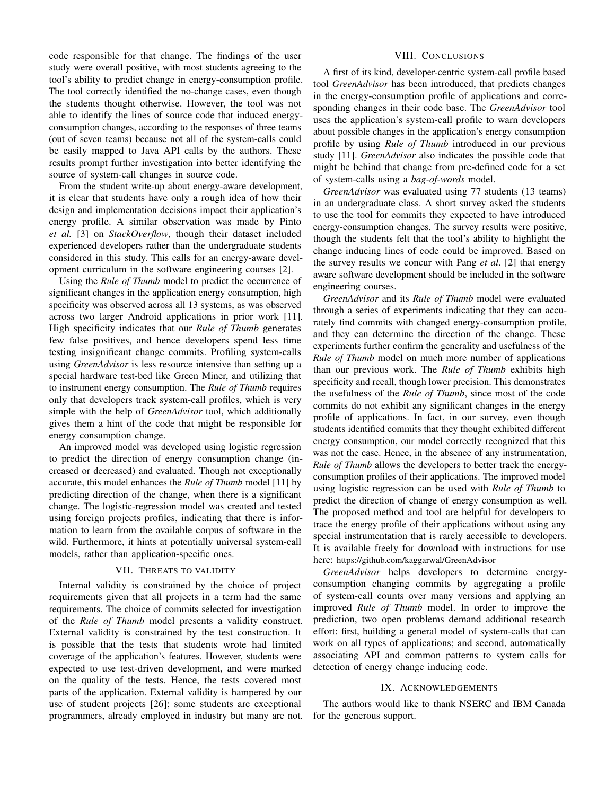code responsible for that change. The findings of the user study were overall positive, with most students agreeing to the tool's ability to predict change in energy-consumption profile. The tool correctly identified the no-change cases, even though the students thought otherwise. However, the tool was not able to identify the lines of source code that induced energyconsumption changes, according to the responses of three teams (out of seven teams) because not all of the system-calls could be easily mapped to Java API calls by the authors. These results prompt further investigation into better identifying the source of system-call changes in source code.

From the student write-up about energy-aware development, it is clear that students have only a rough idea of how their design and implementation decisions impact their application's energy profile. A similar observation was made by Pinto *et al.* [3] on *StackOverflow*, though their dataset included experienced developers rather than the undergraduate students considered in this study. This calls for an energy-aware development curriculum in the software engineering courses [2].

Using the *Rule of Thumb* model to predict the occurrence of significant changes in the application energy consumption, high specificity was observed across all 13 systems, as was observed across two larger Android applications in prior work [11]. High specificity indicates that our *Rule of Thumb* generates few false positives, and hence developers spend less time testing insignificant change commits. Profiling system-calls using *GreenAdvisor* is less resource intensive than setting up a special hardware test-bed like Green Miner, and utilizing that to instrument energy consumption. The *Rule of Thumb* requires only that developers track system-call profiles, which is very simple with the help of *GreenAdvisor* tool, which additionally gives them a hint of the code that might be responsible for energy consumption change.

An improved model was developed using logistic regression to predict the direction of energy consumption change (increased or decreased) and evaluated. Though not exceptionally accurate, this model enhances the *Rule of Thumb* model [11] by predicting direction of the change, when there is a significant change. The logistic-regression model was created and tested using foreign projects profiles, indicating that there is information to learn from the available corpus of software in the wild. Furthermore, it hints at potentially universal system-call models, rather than application-specific ones.

# VII. THREATS TO VALIDITY

Internal validity is constrained by the choice of project requirements given that all projects in a term had the same requirements. The choice of commits selected for investigation of the *Rule of Thumb* model presents a validity construct. External validity is constrained by the test construction. It is possible that the tests that students wrote had limited coverage of the application's features. However, students were expected to use test-driven development, and were marked on the quality of the tests. Hence, the tests covered most parts of the application. External validity is hampered by our use of student projects [26]; some students are exceptional programmers, already employed in industry but many are not.

# VIII. CONCLUSIONS

A first of its kind, developer-centric system-call profile based tool *GreenAdvisor* has been introduced, that predicts changes in the energy-consumption profile of applications and corresponding changes in their code base. The *GreenAdvisor* tool uses the application's system-call profile to warn developers about possible changes in the application's energy consumption profile by using *Rule of Thumb* introduced in our previous study [11]. *GreenAdvisor* also indicates the possible code that might be behind that change from pre-defined code for a set of system-calls using a *bag-of-words* model.

*GreenAdvisor* was evaluated using 77 students (13 teams) in an undergraduate class. A short survey asked the students to use the tool for commits they expected to have introduced energy-consumption changes. The survey results were positive, though the students felt that the tool's ability to highlight the change inducing lines of code could be improved. Based on the survey results we concur with Pang *et al.* [2] that energy aware software development should be included in the software engineering courses.

*GreenAdvisor* and its *Rule of Thumb* model were evaluated through a series of experiments indicating that they can accurately find commits with changed energy-consumption profile, and they can determine the direction of the change. These experiments further confirm the generality and usefulness of the *Rule of Thumb* model on much more number of applications than our previous work. The *Rule of Thumb* exhibits high specificity and recall, though lower precision. This demonstrates the usefulness of the *Rule of Thumb*, since most of the code commits do not exhibit any significant changes in the energy profile of applications. In fact, in our survey, even though students identified commits that they thought exhibited different energy consumption, our model correctly recognized that this was not the case. Hence, in the absence of any instrumentation, *Rule of Thumb* allows the developers to better track the energyconsumption profiles of their applications. The improved model using logistic regression can be used with *Rule of Thumb* to predict the direction of change of energy consumption as well. The proposed method and tool are helpful for developers to trace the energy profile of their applications without using any special instrumentation that is rarely accessible to developers. It is available freely for download with instructions for use here: https://github.com/kaggarwal/GreenAdvisor

*GreenAdvisor* helps developers to determine energyconsumption changing commits by aggregating a profile of system-call counts over many versions and applying an improved *Rule of Thumb* model. In order to improve the prediction, two open problems demand additional research effort: first, building a general model of system-calls that can work on all types of applications; and second, automatically associating API and common patterns to system calls for detection of energy change inducing code.

#### IX. ACKNOWLEDGEMENTS

The authors would like to thank NSERC and IBM Canada for the generous support.